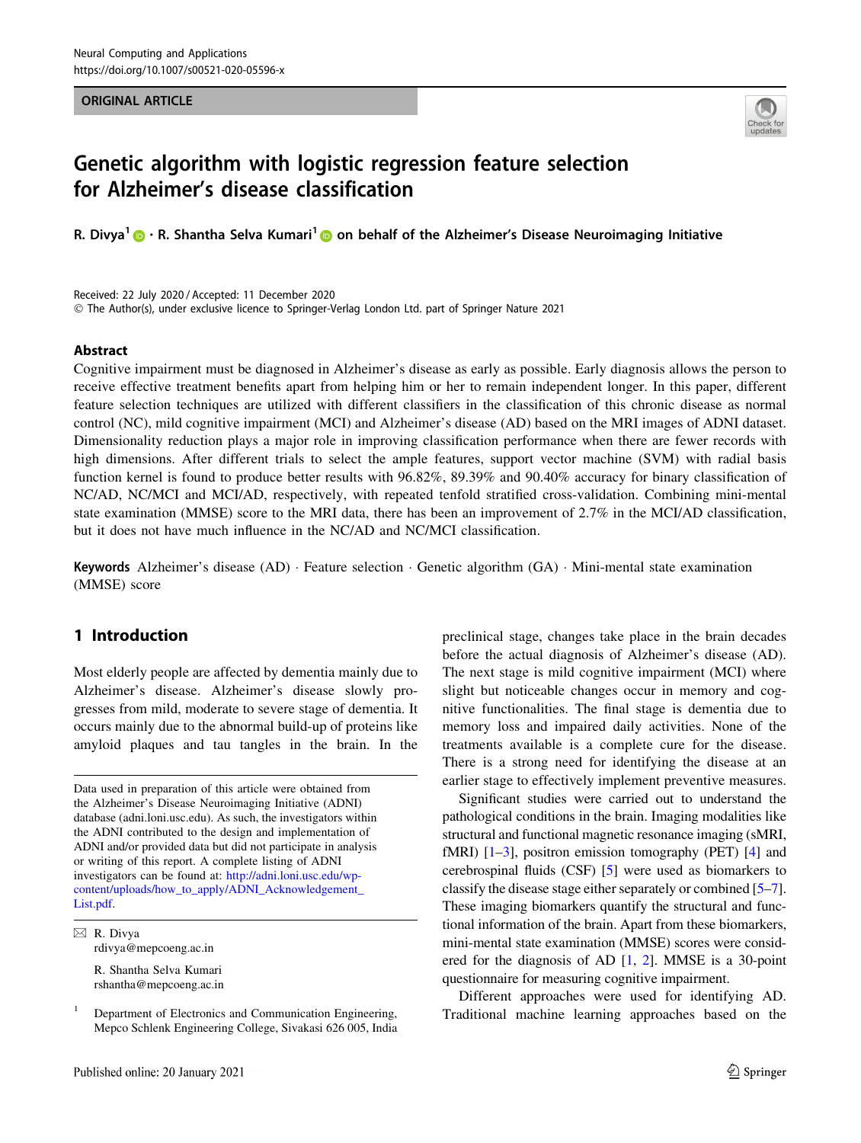#### ORIGINAL ARTICLE



# Genetic algorithm with logistic regression feature selection for Alzheimer's disease classification

R. Divya<sup>[1](https://orcid.org/0000-0001-8469-3534)</sup>  $\bigcirc$  · R. Shantha Selva Kumari<sup>1</sup>  $\bigcirc$  on behalf of the Alzheimer's Disease Neuroimaging Initiative

Received: 22 July 2020 / Accepted: 11 December 2020 - The Author(s), under exclusive licence to Springer-Verlag London Ltd. part of Springer Nature 2021

#### Abstract

Cognitive impairment must be diagnosed in Alzheimer's disease as early as possible. Early diagnosis allows the person to receive effective treatment benefits apart from helping him or her to remain independent longer. In this paper, different feature selection techniques are utilized with different classifiers in the classification of this chronic disease as normal control (NC), mild cognitive impairment (MCI) and Alzheimer's disease (AD) based on the MRI images of ADNI dataset. Dimensionality reduction plays a major role in improving classification performance when there are fewer records with high dimensions. After different trials to select the ample features, support vector machine (SVM) with radial basis function kernel is found to produce better results with 96.82%, 89.39% and 90.40% accuracy for binary classification of NC/AD, NC/MCI and MCI/AD, respectively, with repeated tenfold stratified cross-validation. Combining mini-mental state examination (MMSE) score to the MRI data, there has been an improvement of 2.7% in the MCI/AD classification, but it does not have much influence in the NC/AD and NC/MCI classification.

Keywords Alzheimer's disease (AD) · Feature selection · Genetic algorithm (GA) · Mini-mental state examination (MMSE) score

# 1 Introduction

Most elderly people are affected by dementia mainly due to Alzheimer's disease. Alzheimer's disease slowly progresses from mild, moderate to severe stage of dementia. It occurs mainly due to the abnormal build-up of proteins like amyloid plaques and tau tangles in the brain. In the

Data used in preparation of this article were obtained from the Alzheimer's Disease Neuroimaging Initiative (ADNI) database (adni.loni.usc.edu). As such, the investigators within the ADNI contributed to the design and implementation of ADNI and/or provided data but did not participate in analysis or writing of this report. A complete listing of ADNI investigators can be found at: [http://adni.loni.usc.edu/wp](http://adni.loni.usc.edu/wp-content/uploads/how_to_apply/ADNI_Acknowledgement_List.pdf)[content/uploads/how\\_to\\_apply/ADNI\\_Acknowledgement\\_](http://adni.loni.usc.edu/wp-content/uploads/how_to_apply/ADNI_Acknowledgement_List.pdf) [List.pdf.](http://adni.loni.usc.edu/wp-content/uploads/how_to_apply/ADNI_Acknowledgement_List.pdf)

 $\boxtimes$  R. Divya rdivya@mepcoeng.ac.in

> R. Shantha Selva Kumari rshantha@mepcoeng.ac.in

preclinical stage, changes take place in the brain decades before the actual diagnosis of Alzheimer's disease (AD). The next stage is mild cognitive impairment (MCI) where slight but noticeable changes occur in memory and cognitive functionalities. The final stage is dementia due to memory loss and impaired daily activities. None of the treatments available is a complete cure for the disease. There is a strong need for identifying the disease at an earlier stage to effectively implement preventive measures.

Significant studies were carried out to understand the pathological conditions in the brain. Imaging modalities like structural and functional magnetic resonance imaging (sMRI, fMRI)  $[1-3]$ , positron emission tomography (PET)  $[4]$  $[4]$  and cerebrospinal fluids (CSF) [\[5](#page-8-0)] were used as biomarkers to classify the disease stage either separately or combined [[5–7\]](#page-8-0). These imaging biomarkers quantify the structural and functional information of the brain. Apart from these biomarkers, mini-mental state examination (MMSE) scores were considered for the diagnosis of AD [\[1](#page-8-0), [2](#page-8-0)]. MMSE is a 30-point questionnaire for measuring cognitive impairment.

Different approaches were used for identifying AD. Traditional machine learning approaches based on the

<sup>1</sup> Department of Electronics and Communication Engineering, Mepco Schlenk Engineering College, Sivakasi 626 005, India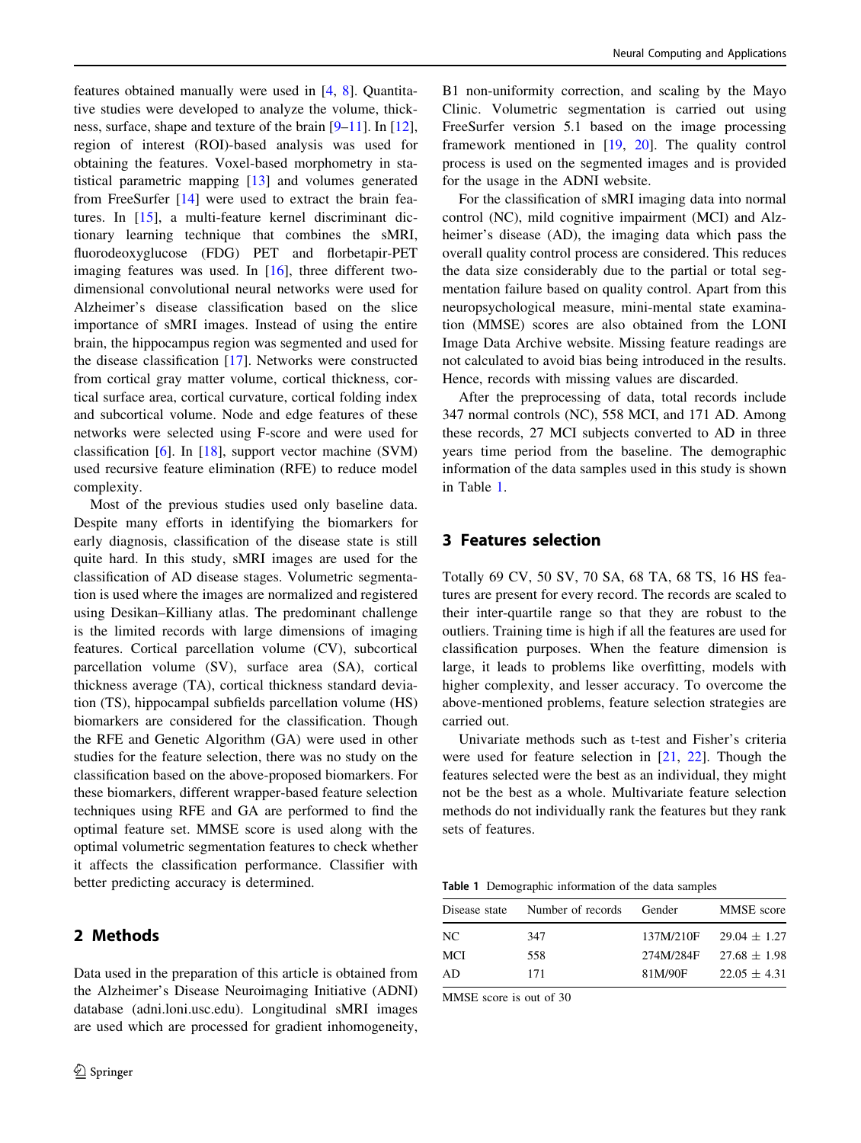features obtained manually were used in [[4,](#page-8-0) [8\]](#page-8-0). Quantitative studies were developed to analyze the volume, thickness, surface, shape and texture of the brain [\[9](#page-8-0)[–11](#page-9-0)]. In [\[12](#page-9-0)], region of interest (ROI)-based analysis was used for obtaining the features. Voxel-based morphometry in statistical parametric mapping [[13\]](#page-9-0) and volumes generated from FreeSurfer [[14\]](#page-9-0) were used to extract the brain features. In [\[15](#page-9-0)], a multi-feature kernel discriminant dictionary learning technique that combines the sMRI, fluorodeoxyglucose (FDG) PET and florbetapir-PET imaging features was used. In [[16\]](#page-9-0), three different twodimensional convolutional neural networks were used for Alzheimer's disease classification based on the slice importance of sMRI images. Instead of using the entire brain, the hippocampus region was segmented and used for the disease classification [\[17](#page-9-0)]. Networks were constructed from cortical gray matter volume, cortical thickness, cortical surface area, cortical curvature, cortical folding index and subcortical volume. Node and edge features of these networks were selected using F-score and were used for classification [\[6](#page-8-0)]. In [[18\]](#page-9-0), support vector machine (SVM) used recursive feature elimination (RFE) to reduce model complexity.

Most of the previous studies used only baseline data. Despite many efforts in identifying the biomarkers for early diagnosis, classification of the disease state is still quite hard. In this study, sMRI images are used for the classification of AD disease stages. Volumetric segmentation is used where the images are normalized and registered using Desikan–Killiany atlas. The predominant challenge is the limited records with large dimensions of imaging features. Cortical parcellation volume (CV), subcortical parcellation volume (SV), surface area (SA), cortical thickness average (TA), cortical thickness standard deviation (TS), hippocampal subfields parcellation volume (HS) biomarkers are considered for the classification. Though the RFE and Genetic Algorithm (GA) were used in other studies for the feature selection, there was no study on the classification based on the above-proposed biomarkers. For these biomarkers, different wrapper-based feature selection techniques using RFE and GA are performed to find the optimal feature set. MMSE score is used along with the optimal volumetric segmentation features to check whether it affects the classification performance. Classifier with better predicting accuracy is determined.

# 2 Methods

Data used in the preparation of this article is obtained from the Alzheimer's Disease Neuroimaging Initiative (ADNI) database (adni.loni.usc.edu). Longitudinal sMRI images are used which are processed for gradient inhomogeneity,

B1 non-uniformity correction, and scaling by the Mayo Clinic. Volumetric segmentation is carried out using FreeSurfer version 5.1 based on the image processing framework mentioned in [[19,](#page-9-0) [20](#page-9-0)]. The quality control process is used on the segmented images and is provided for the usage in the ADNI website.

For the classification of sMRI imaging data into normal control (NC), mild cognitive impairment (MCI) and Alzheimer's disease (AD), the imaging data which pass the overall quality control process are considered. This reduces the data size considerably due to the partial or total segmentation failure based on quality control. Apart from this neuropsychological measure, mini-mental state examination (MMSE) scores are also obtained from the LONI Image Data Archive website. Missing feature readings are not calculated to avoid bias being introduced in the results. Hence, records with missing values are discarded.

After the preprocessing of data, total records include 347 normal controls (NC), 558 MCI, and 171 AD. Among these records, 27 MCI subjects converted to AD in three years time period from the baseline. The demographic information of the data samples used in this study is shown in Table 1.

# 3 Features selection

Totally 69 CV, 50 SV, 70 SA, 68 TA, 68 TS, 16 HS features are present for every record. The records are scaled to their inter-quartile range so that they are robust to the outliers. Training time is high if all the features are used for classification purposes. When the feature dimension is large, it leads to problems like overfitting, models with higher complexity, and lesser accuracy. To overcome the above-mentioned problems, feature selection strategies are carried out.

Univariate methods such as t-test and Fisher's criteria were used for feature selection in [\[21](#page-9-0), [22\]](#page-9-0). Though the features selected were the best as an individual, they might not be the best as a whole. Multivariate feature selection methods do not individually rank the features but they rank sets of features.

Table 1 Demographic information of the data samples

| Disease state | Number of records | Gender    | MMSE score       |
|---------------|-------------------|-----------|------------------|
| NC            | 347               | 137M/210F | $29.04 \pm 1.27$ |
| MCI           | 558               | 274M/284F | $27.68 \pm 1.98$ |
| AD            | 171               | 81M/90F   | $22.05 \pm 4.31$ |

MMSE score is out of 30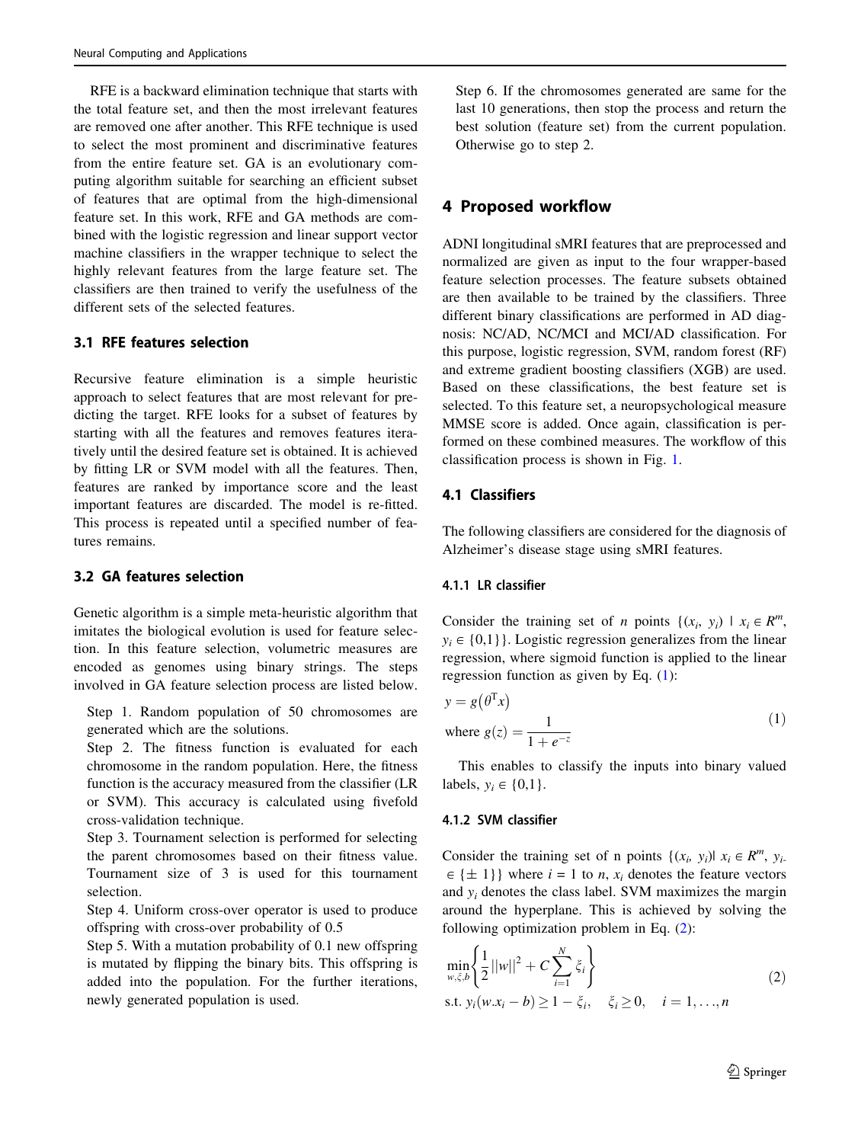RFE is a backward elimination technique that starts with the total feature set, and then the most irrelevant features are removed one after another. This RFE technique is used to select the most prominent and discriminative features from the entire feature set. GA is an evolutionary computing algorithm suitable for searching an efficient subset of features that are optimal from the high-dimensional feature set. In this work, RFE and GA methods are combined with the logistic regression and linear support vector machine classifiers in the wrapper technique to select the highly relevant features from the large feature set. The classifiers are then trained to verify the usefulness of the different sets of the selected features.

## 3.1 RFE features selection

Recursive feature elimination is a simple heuristic approach to select features that are most relevant for predicting the target. RFE looks for a subset of features by starting with all the features and removes features iteratively until the desired feature set is obtained. It is achieved by fitting LR or SVM model with all the features. Then, features are ranked by importance score and the least important features are discarded. The model is re-fitted. This process is repeated until a specified number of features remains.

# 3.2 GA features selection

Genetic algorithm is a simple meta-heuristic algorithm that imitates the biological evolution is used for feature selection. In this feature selection, volumetric measures are encoded as genomes using binary strings. The steps involved in GA feature selection process are listed below.

Step 1. Random population of 50 chromosomes are generated which are the solutions.

Step 2. The fitness function is evaluated for each chromosome in the random population. Here, the fitness function is the accuracy measured from the classifier (LR or SVM). This accuracy is calculated using fivefold cross-validation technique.

Step 3. Tournament selection is performed for selecting the parent chromosomes based on their fitness value. Tournament size of 3 is used for this tournament selection.

Step 4. Uniform cross-over operator is used to produce offspring with cross-over probability of 0.5

Step 5. With a mutation probability of 0.1 new offspring is mutated by flipping the binary bits. This offspring is added into the population. For the further iterations, newly generated population is used.

Step 6. If the chromosomes generated are same for the last 10 generations, then stop the process and return the best solution (feature set) from the current population. Otherwise go to step 2.

# 4 Proposed workflow

ADNI longitudinal sMRI features that are preprocessed and normalized are given as input to the four wrapper-based feature selection processes. The feature subsets obtained are then available to be trained by the classifiers. Three different binary classifications are performed in AD diagnosis: NC/AD, NC/MCI and MCI/AD classification. For this purpose, logistic regression, SVM, random forest (RF) and extreme gradient boosting classifiers (XGB) are used. Based on these classifications, the best feature set is selected. To this feature set, a neuropsychological measure MMSE score is added. Once again, classification is performed on these combined measures. The workflow of this classification process is shown in Fig. [1.](#page-3-0)

## 4.1 Classifiers

The following classifiers are considered for the diagnosis of Alzheimer's disease stage using sMRI features.

#### 4.1.1 LR classifier

Consider the training set of *n* points  $\{(x_i, y_i) | x_i \in R^m,$  $y_i \in \{ 0,1\}$ . Logistic regression generalizes from the linear regression, where sigmoid function is applied to the linear regression function as given by Eq. (1):

$$
y = g(\theta^{T} x)
$$
  
where  $g(z) = \frac{1}{1 + e^{-z}}$  (1)

This enables to classify the inputs into binary valued labels,  $y_i \in \{0,1\}$ .

### 4.1.2 SVM classifier

Consider the training set of n points  $\{(x_i, y_i) | x_i \in R^m, y_i\}$  $\in \{\pm 1\}$  where  $i = 1$  to *n*,  $x_i$  denotes the feature vectors and  $y_i$  denotes the class label. SVM maximizes the margin around the hyperplane. This is achieved by solving the following optimization problem in Eq. (2):

$$
\min_{w,\xi,b} \left\{ \frac{1}{2} ||w||^2 + C \sum_{i=1}^N \xi_i \right\}
$$
  
s.t.  $y_i(w.x_i - b) \ge 1 - \xi_i$ ,  $\xi_i \ge 0$ ,  $i = 1,...,n$  (2)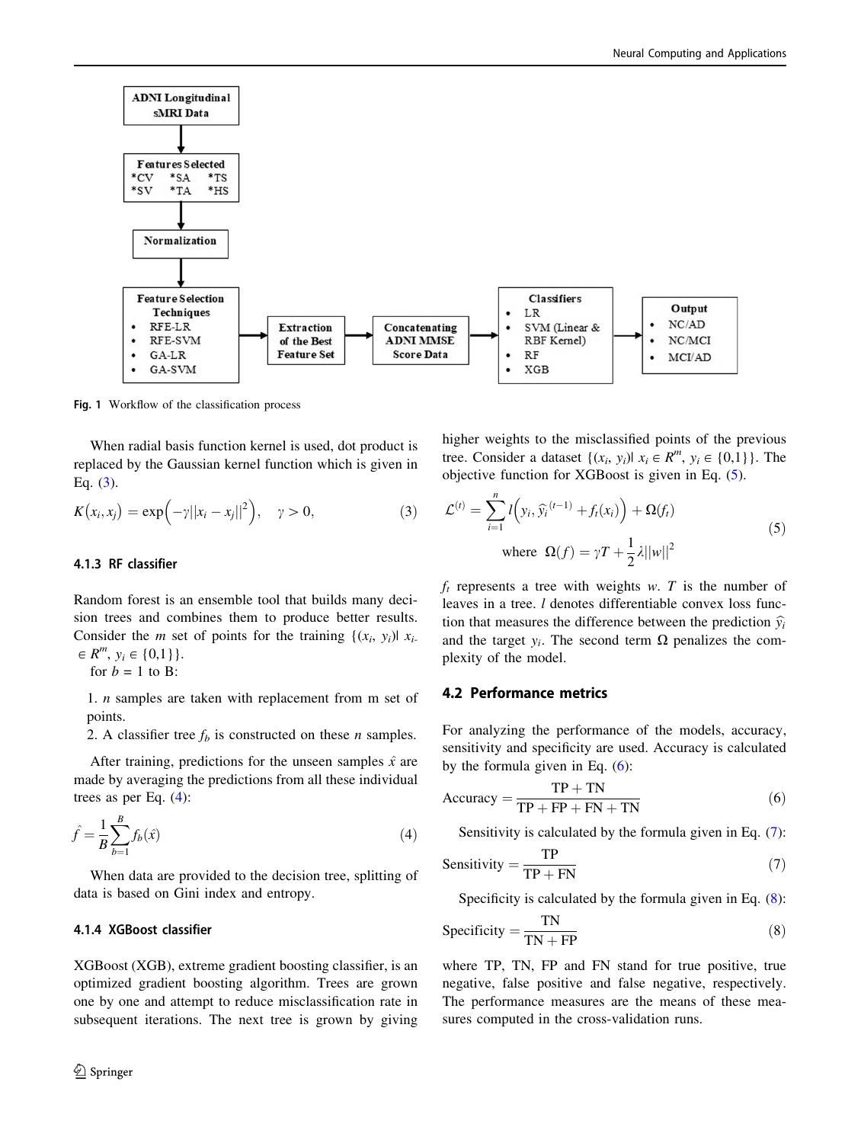<span id="page-3-0"></span>

Fig. 1 Workflow of the classification process

When radial basis function kernel is used, dot product is replaced by the Gaussian kernel function which is given in Eq.  $(3)$ .

$$
K(x_i, x_j) = \exp(-\gamma ||x_i - x_j||^2), \quad \gamma > 0,
$$
\n(3)

#### 4.1.3 RF classifier

Random forest is an ensemble tool that builds many decision trees and combines them to produce better results. Consider the *m* set of points for the training  $\{(x_i, y_i) | x_i$  $\in R^m$ ,  $y_i \in \{0,1\}$ . for  $b = 1$  to B:

1. n samples are taken with replacement from m set of points.

2. A classifier tree  $f<sub>b</sub>$  is constructed on these *n* samples.

After training, predictions for the unseen samples  $\hat{x}$  are made by averaging the predictions from all these individual trees as per Eq.  $(4)$ :

$$
\hat{f} = \frac{1}{B} \sum_{b=1}^{B} f_b(\hat{x})
$$
\n(4)

When data are provided to the decision tree, splitting of data is based on Gini index and entropy.

#### 4.1.4 XGBoost classifier

XGBoost (XGB), extreme gradient boosting classifier, is an optimized gradient boosting algorithm. Trees are grown one by one and attempt to reduce misclassification rate in subsequent iterations. The next tree is grown by giving higher weights to the misclassified points of the previous tree. Consider a dataset  $\{(x_i, y_i) | x_i \in R^m, y_i \in \{0,1\}\}\.$  The objective function for XGBoost is given in Eq. (5).

$$
\mathcal{L}^{(t)} = \sum_{i=1}^{n} l\left(y_i, \hat{y}_i^{(t-1)} + f_t(x_i)\right) + \Omega(f_t)
$$
  
where  $\Omega(f) = \gamma T + \frac{1}{2}\lambda ||w||^2$  (5)

 $f_t$  represents a tree with weights w. T is the number of leaves in a tree. *l* denotes differentiable convex loss function that measures the difference between the prediction  $\hat{y}_i$ and the target  $y_i$ . The second term  $\Omega$  penalizes the complexity of the model.

#### 4.2 Performance metrics

For analyzing the performance of the models, accuracy, sensitivity and specificity are used. Accuracy is calculated by the formula given in Eq. (6):

$$
Accuracy = \frac{TP + TN}{TP + FP + FN + TN}
$$
 (6)

Sensitivity is calculated by the formula given in Eq. (7):

$$
Sensitivity = \frac{TP}{TP + FN}
$$
 (7)

Specificity is calculated by the formula given in Eq. (8):

$$
Specificity = \frac{TN}{TN + FP}
$$
 (8)

where TP, TN, FP and FN stand for true positive, true negative, false positive and false negative, respectively. The performance measures are the means of these measures computed in the cross-validation runs.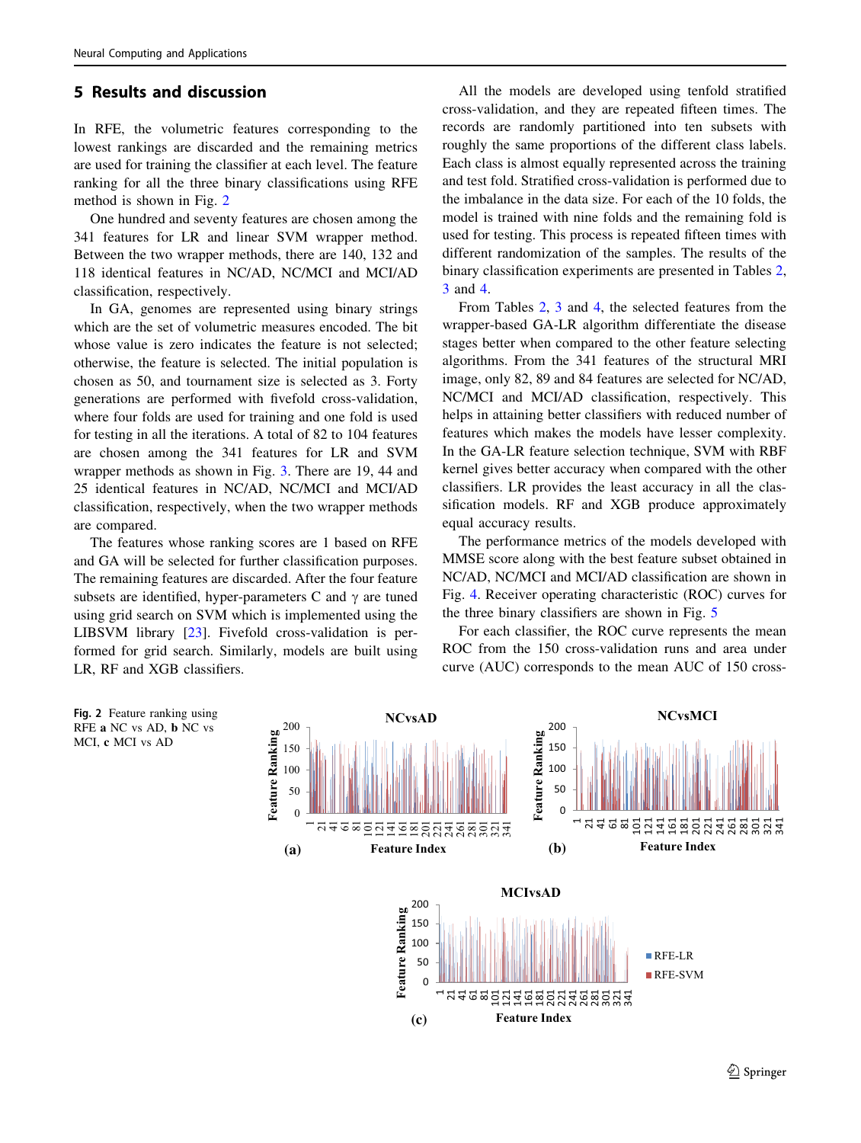# 5 Results and discussion

In RFE, the volumetric features corresponding to the lowest rankings are discarded and the remaining metrics are used for training the classifier at each level. The feature ranking for all the three binary classifications using RFE method is shown in Fig. 2

One hundred and seventy features are chosen among the 341 features for LR and linear SVM wrapper method. Between the two wrapper methods, there are 140, 132 and 118 identical features in NC/AD, NC/MCI and MCI/AD classification, respectively.

In GA, genomes are represented using binary strings which are the set of volumetric measures encoded. The bit whose value is zero indicates the feature is not selected; otherwise, the feature is selected. The initial population is chosen as 50, and tournament size is selected as 3. Forty generations are performed with fivefold cross-validation, where four folds are used for training and one fold is used for testing in all the iterations. A total of 82 to 104 features are chosen among the 341 features for LR and SVM wrapper methods as shown in Fig. [3.](#page-5-0) There are 19, 44 and 25 identical features in NC/AD, NC/MCI and MCI/AD classification, respectively, when the two wrapper methods are compared.

The features whose ranking scores are 1 based on RFE and GA will be selected for further classification purposes. The remaining features are discarded. After the four feature subsets are identified, hyper-parameters C and  $\gamma$  are tuned using grid search on SVM which is implemented using the LIBSVM library [\[23](#page-9-0)]. Fivefold cross-validation is performed for grid search. Similarly, models are built using LR, RF and XGB classifiers.

All the models are developed using tenfold stratified cross-validation, and they are repeated fifteen times. The records are randomly partitioned into ten subsets with roughly the same proportions of the different class labels. Each class is almost equally represented across the training and test fold. Stratified cross-validation is performed due to the imbalance in the data size. For each of the 10 folds, the model is trained with nine folds and the remaining fold is used for testing. This process is repeated fifteen times with different randomization of the samples. The results of the binary classification experiments are presented in Tables [2,](#page-5-0) [3](#page-6-0) and [4](#page-6-0).

From Tables [2](#page-5-0), [3](#page-6-0) and [4,](#page-6-0) the selected features from the wrapper-based GA-LR algorithm differentiate the disease stages better when compared to the other feature selecting algorithms. From the 341 features of the structural MRI image, only 82, 89 and 84 features are selected for NC/AD, NC/MCI and MCI/AD classification, respectively. This helps in attaining better classifiers with reduced number of features which makes the models have lesser complexity. In the GA-LR feature selection technique, SVM with RBF kernel gives better accuracy when compared with the other classifiers. LR provides the least accuracy in all the classification models. RF and XGB produce approximately equal accuracy results.

The performance metrics of the models developed with MMSE score along with the best feature subset obtained in NC/AD, NC/MCI and MCI/AD classification are shown in Fig. [4](#page-7-0). Receiver operating characteristic (ROC) curves for the three binary classifiers are shown in Fig. [5](#page-7-0)

For each classifier, the ROC curve represents the mean ROC from the 150 cross-validation runs and area under curve (AUC) corresponds to the mean AUC of 150 cross-

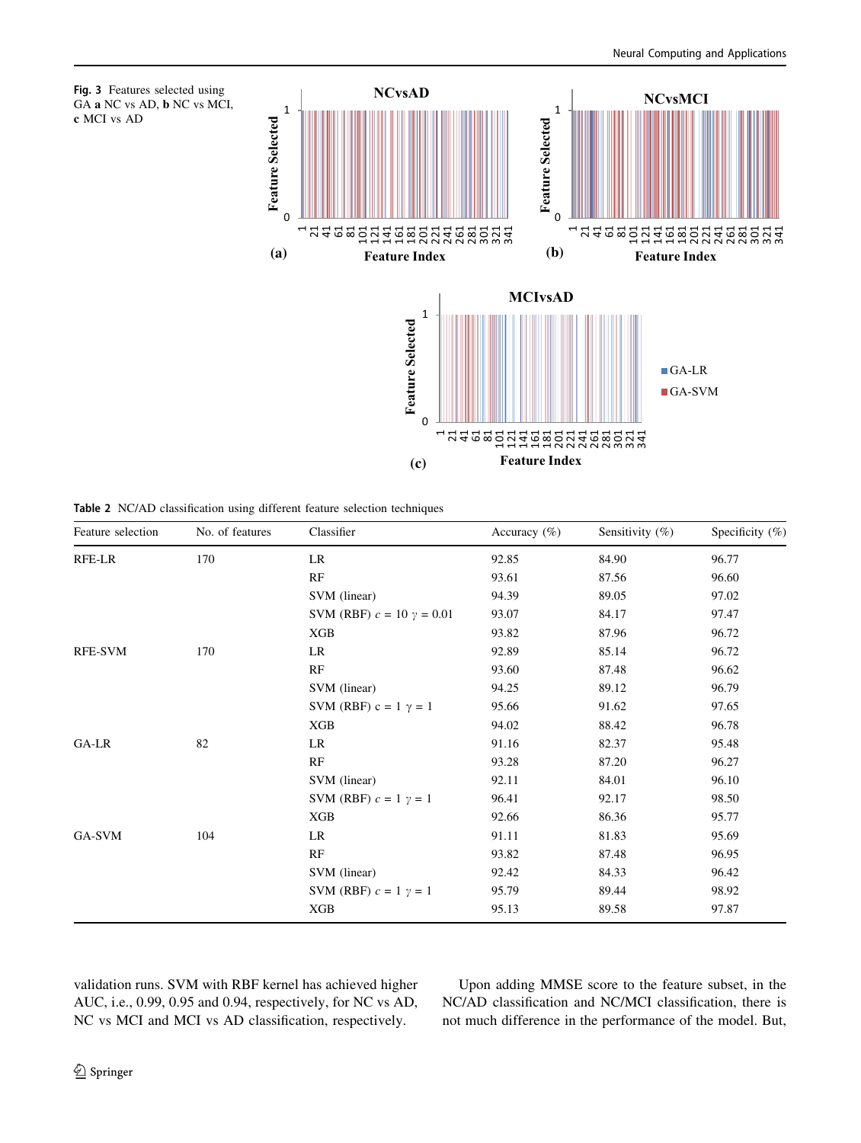<span id="page-5-0"></span>

|  |  | Table 2 NC/AD classification using different feature selection techniques |  |  |  |  |  |
|--|--|---------------------------------------------------------------------------|--|--|--|--|--|
|--|--|---------------------------------------------------------------------------|--|--|--|--|--|

| Feature selection | No. of features | Classifier                         | Accuracy $(\%)$ | Sensitivity $(\%)$ | Specificity $(\%)$ |
|-------------------|-----------------|------------------------------------|-----------------|--------------------|--------------------|
| RFE-LR            | 170             | LR                                 | 92.85           | 84.90              | 96.77              |
|                   |                 | RF                                 | 93.61           | 87.56              | 96.60              |
|                   |                 | SVM (linear)                       | 94.39           | 89.05              | 97.02              |
|                   |                 | SVM (RBF) $c = 10$ $\gamma = 0.01$ | 93.07           | 84.17              | 97.47              |
|                   |                 | XGB                                | 93.82           | 87.96              | 96.72              |
| <b>RFE-SVM</b>    | 170             | LR                                 | 92.89           | 85.14              | 96.72              |
|                   |                 | RF                                 | 93.60           | 87.48              | 96.62              |
|                   |                 | SVM (linear)                       | 94.25           | 89.12              | 96.79              |
|                   |                 | SVM (RBF) $c = 1$ $\gamma = 1$     | 95.66           | 91.62              | 97.65              |
|                   |                 | XGB                                | 94.02           | 88.42              | 96.78              |
| GA-LR             | 82              | LR                                 | 91.16           | 82.37              | 95.48              |
|                   |                 | RF                                 | 93.28           | 87.20              | 96.27              |
|                   |                 | SVM (linear)                       | 92.11           | 84.01              | 96.10              |
|                   |                 | SVM (RBF) $c = 1$ $\gamma = 1$     | 96.41           | 92.17              | 98.50              |
|                   |                 | XGB                                | 92.66           | 86.36              | 95.77              |
| GA-SVM            | 104             | LR                                 | 91.11           | 81.83              | 95.69              |
|                   |                 | RF                                 | 93.82           | 87.48              | 96.95              |
|                   |                 | SVM (linear)                       | 92.42           | 84.33              | 96.42              |
|                   |                 | SVM (RBF) $c = 1$ $\gamma = 1$     | 95.79           | 89.44              | 98.92              |
|                   |                 | XGB                                | 95.13           | 89.58              | 97.87              |

validation runs. SVM with RBF kernel has achieved higher AUC, i.e., 0.99, 0.95 and 0.94, respectively, for NC vs AD, NC vs MCI and MCI vs AD classification, respectively.

Upon adding MMSE score to the feature subset, in the NC/AD classification and NC/MCI classification, there is not much difference in the performance of the model. But,

c MCI vs AD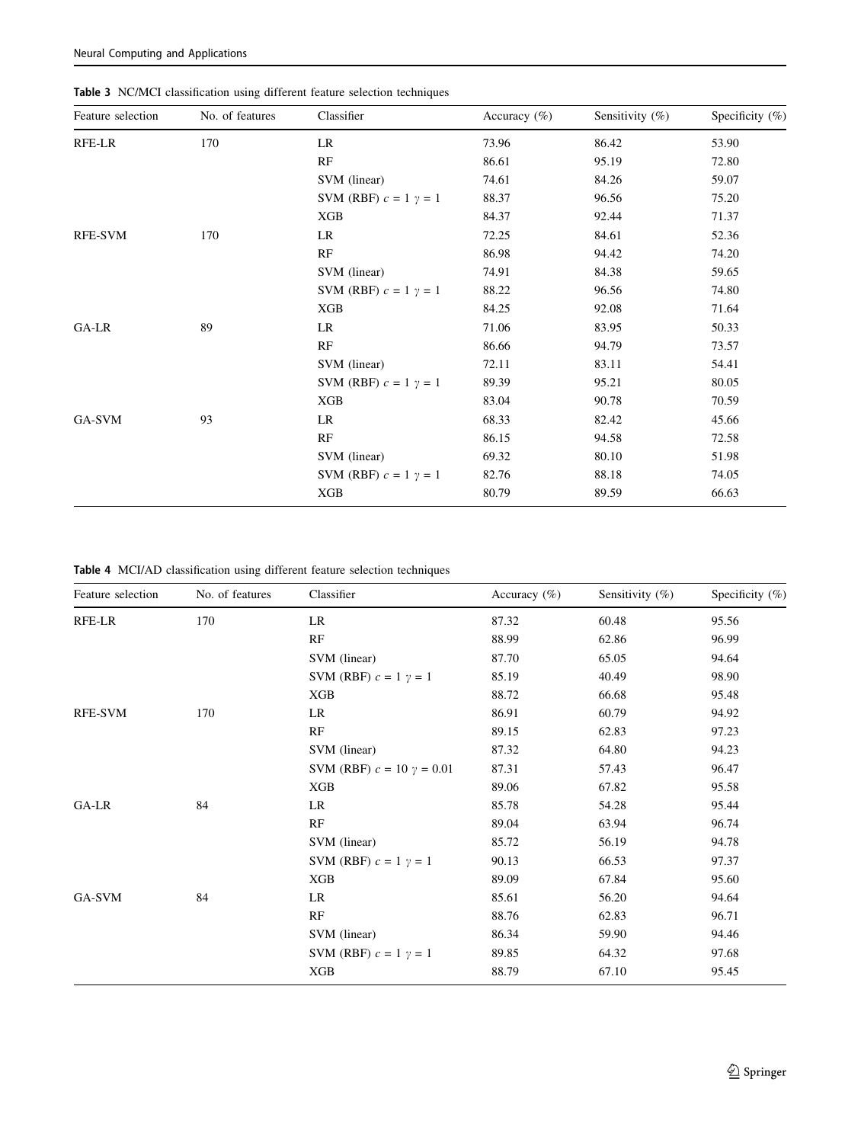| SVM (RBF) $c = 1$ $\gamma = 1$<br>85.19<br>40.49<br>98.90<br>XGB<br>88.72<br>66.68<br>95.48<br>RFE-SVM<br>170<br>LR<br>86.91<br>60.79<br>94.92<br>RF<br>89.15<br>62.83<br>97.23<br>64.80<br>SVM (linear)<br>87.32<br>94.23<br>SVM (RBF) $c = 10$ $\gamma = 0.01$<br>87.31<br>57.43<br>96.47<br>XGB<br>95.58<br>89.06<br>67.82<br>GA-LR<br>84<br>LR<br>85.78<br>54.28<br>95.44<br>RF<br>89.04<br>63.94<br>96.74<br>SVM (linear)<br>56.19<br>94.78<br>85.72<br>SVM (RBF) $c = 1$ $\gamma = 1$<br>66.53<br>90.13<br>97.37<br>XGB<br>89.09<br>95.60<br>67.84<br>GA-SVM<br>84<br>85.61<br>56.20<br>94.64<br>LR<br>RF<br>88.76<br>62.83<br>96.71<br>SVM (linear)<br>86.34<br>59.90<br>94.46<br>SVM (RBF) $c = 1$ $\gamma = 1$<br>89.85<br>64.32<br>97.68 | SVM (linear) | 87.70 | 65.05 | 94.64 |  |
|----------------------------------------------------------------------------------------------------------------------------------------------------------------------------------------------------------------------------------------------------------------------------------------------------------------------------------------------------------------------------------------------------------------------------------------------------------------------------------------------------------------------------------------------------------------------------------------------------------------------------------------------------------------------------------------------------------------------------------------------------|--------------|-------|-------|-------|--|
|                                                                                                                                                                                                                                                                                                                                                                                                                                                                                                                                                                                                                                                                                                                                                    |              |       |       |       |  |
|                                                                                                                                                                                                                                                                                                                                                                                                                                                                                                                                                                                                                                                                                                                                                    |              |       |       |       |  |
|                                                                                                                                                                                                                                                                                                                                                                                                                                                                                                                                                                                                                                                                                                                                                    |              |       |       |       |  |
|                                                                                                                                                                                                                                                                                                                                                                                                                                                                                                                                                                                                                                                                                                                                                    |              |       |       |       |  |
|                                                                                                                                                                                                                                                                                                                                                                                                                                                                                                                                                                                                                                                                                                                                                    |              |       |       |       |  |
|                                                                                                                                                                                                                                                                                                                                                                                                                                                                                                                                                                                                                                                                                                                                                    |              |       |       |       |  |
|                                                                                                                                                                                                                                                                                                                                                                                                                                                                                                                                                                                                                                                                                                                                                    |              |       |       |       |  |
|                                                                                                                                                                                                                                                                                                                                                                                                                                                                                                                                                                                                                                                                                                                                                    |              |       |       |       |  |
|                                                                                                                                                                                                                                                                                                                                                                                                                                                                                                                                                                                                                                                                                                                                                    |              |       |       |       |  |
|                                                                                                                                                                                                                                                                                                                                                                                                                                                                                                                                                                                                                                                                                                                                                    |              |       |       |       |  |
|                                                                                                                                                                                                                                                                                                                                                                                                                                                                                                                                                                                                                                                                                                                                                    |              |       |       |       |  |
|                                                                                                                                                                                                                                                                                                                                                                                                                                                                                                                                                                                                                                                                                                                                                    |              |       |       |       |  |
|                                                                                                                                                                                                                                                                                                                                                                                                                                                                                                                                                                                                                                                                                                                                                    |              |       |       |       |  |
|                                                                                                                                                                                                                                                                                                                                                                                                                                                                                                                                                                                                                                                                                                                                                    |              |       |       |       |  |
|                                                                                                                                                                                                                                                                                                                                                                                                                                                                                                                                                                                                                                                                                                                                                    |              |       |       |       |  |
|                                                                                                                                                                                                                                                                                                                                                                                                                                                                                                                                                                                                                                                                                                                                                    |              |       |       |       |  |
| XGB<br>88.79<br>67.10<br>95.45                                                                                                                                                                                                                                                                                                                                                                                                                                                                                                                                                                                                                                                                                                                     |              |       |       |       |  |
|                                                                                                                                                                                                                                                                                                                                                                                                                                                                                                                                                                                                                                                                                                                                                    |              |       |       |       |  |

RF 88.99 62.86 96.99

|  | Table 4 MCI/AD classification using different feature selection techniques |  |  |  |
|--|----------------------------------------------------------------------------|--|--|--|
|  |                                                                            |  |  |  |

| Feature selection | No. of features | Classifier                     | Accuracy $(\%)$ | Sensitivity $(\%)$ | Specificity $(\%)$ |
|-------------------|-----------------|--------------------------------|-----------------|--------------------|--------------------|
| RFE-LR            | 170             | LR                             | 73.96           | 86.42              | 53.90              |
|                   |                 | RF                             | 86.61           | 95.19              | 72.80              |
|                   |                 | SVM (linear)                   | 74.61           | 84.26              | 59.07              |
|                   |                 | SVM (RBF) $c = 1$ $\gamma = 1$ | 88.37           | 96.56              | 75.20              |
|                   |                 | XGB                            | 84.37           | 92.44              | 71.37              |
| <b>RFE-SVM</b>    | 170             | LR                             | 72.25           | 84.61              | 52.36              |
|                   |                 | RF                             | 86.98           | 94.42              | 74.20              |
|                   |                 | SVM (linear)                   | 74.91           | 84.38              | 59.65              |
|                   |                 | SVM (RBF) $c = 1$ $\gamma = 1$ | 88.22           | 96.56              | 74.80              |
|                   |                 | XGB                            | 84.25           | 92.08              | 71.64              |
| GA-LR             | 89              | LR                             | 71.06           | 83.95              | 50.33              |
|                   |                 | RF                             | 86.66           | 94.79              | 73.57              |
|                   |                 | SVM (linear)                   | 72.11           | 83.11              | 54.41              |
|                   |                 | SVM (RBF) $c = 1$ $\gamma = 1$ | 89.39           | 95.21              | 80.05              |
|                   |                 | XGB                            | 83.04           | 90.78              | 70.59              |
| GA-SVM            | 93              | LR                             | 68.33           | 82.42              | 45.66              |
|                   |                 | RF                             | 86.15           | 94.58              | 72.58              |
|                   |                 | SVM (linear)                   | 69.32           | 80.10              | 51.98              |
|                   |                 | SVM (RBF) $c = 1$ $\gamma = 1$ | 82.76           | 88.18              | 74.05              |
|                   |                 | XGB                            | 80.79           | 89.59              | 66.63              |

Feature selection No. of features Classifier Accuracy (%) Sensitivity (%) Specificity (%)

RFE-LR 170 LR 27.32 60.48 95.56

<span id="page-6-0"></span>Table 3 NC/MCI classification using different feature selection techniques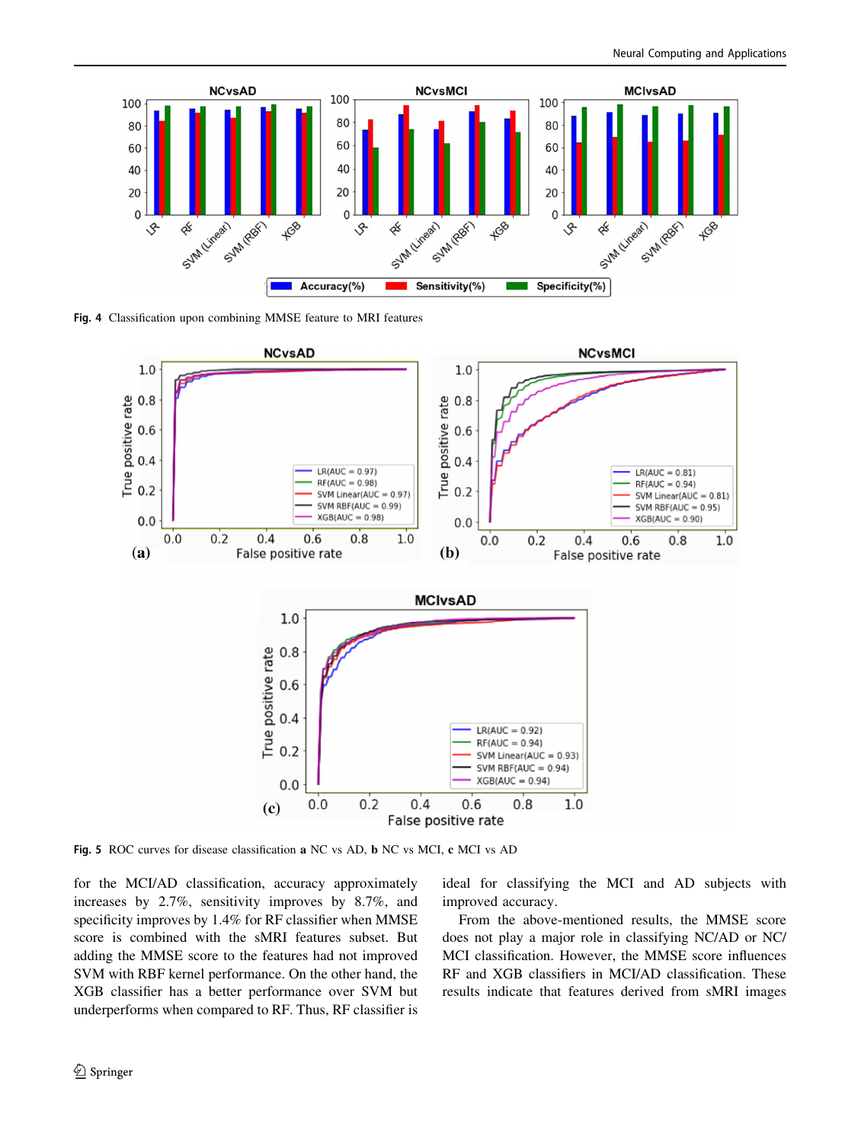<span id="page-7-0"></span>

Fig. 4 Classification upon combining MMSE feature to MRI features



Fig. 5 ROC curves for disease classification a NC vs AD, b NC vs MCI, c MCI vs AD

for the MCI/AD classification, accuracy approximately increases by 2.7%, sensitivity improves by 8.7%, and specificity improves by 1.4% for RF classifier when MMSE score is combined with the sMRI features subset. But adding the MMSE score to the features had not improved SVM with RBF kernel performance. On the other hand, the XGB classifier has a better performance over SVM but underperforms when compared to RF. Thus, RF classifier is ideal for classifying the MCI and AD subjects with improved accuracy.

From the above-mentioned results, the MMSE score does not play a major role in classifying NC/AD or NC/ MCI classification. However, the MMSE score influences RF and XGB classifiers in MCI/AD classification. These results indicate that features derived from sMRI images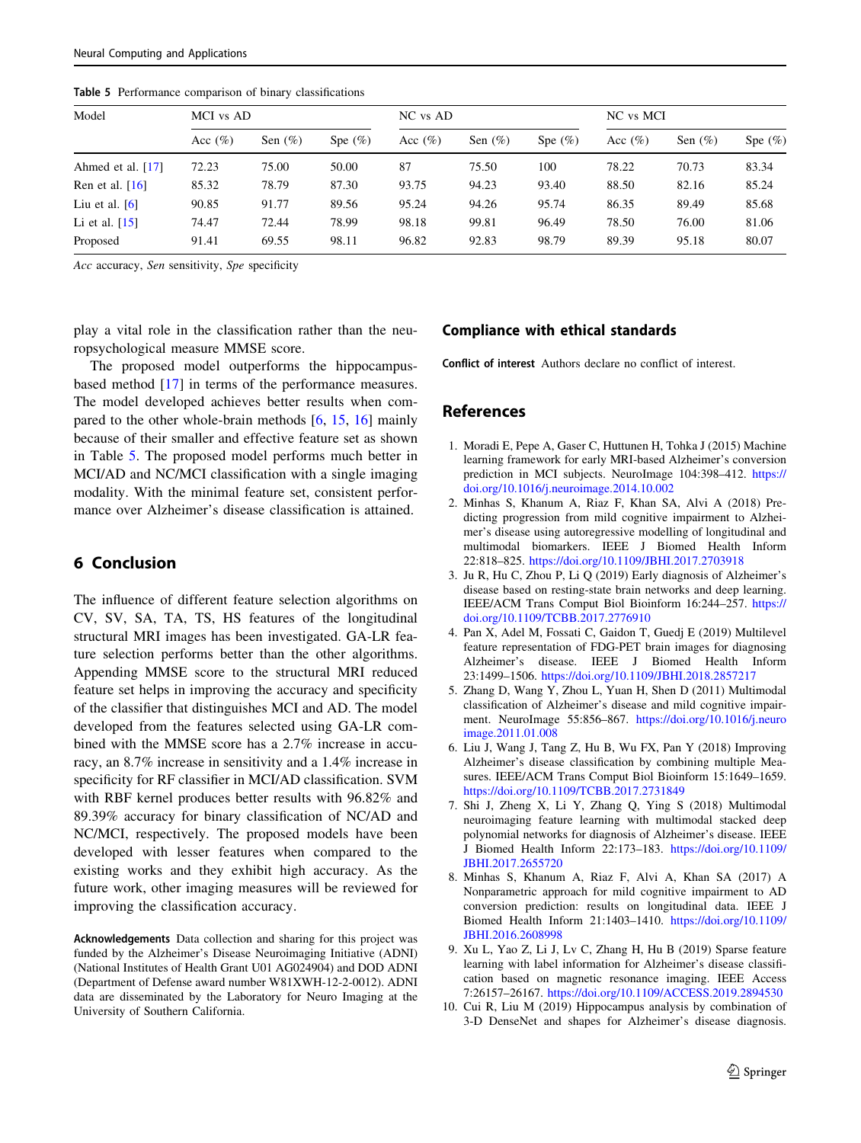| Model             | MCI vs AD   |            |            | NC vs AD    |            |            | NC vs MCI   |            |            |
|-------------------|-------------|------------|------------|-------------|------------|------------|-------------|------------|------------|
|                   | Acc $(\% )$ | Sen $(\%)$ | Spe $(\%)$ | Acc $(\% )$ | Sen $(\%)$ | Spe $(\%)$ | Acc $(\% )$ | Sen $(\%)$ | Spe $(\%)$ |
| Ahmed et al. [17] | 72.23       | 75.00      | 50.00      | 87          | 75.50      | 100        | 78.22       | 70.73      | 83.34      |
| Ren et al. $[16]$ | 85.32       | 78.79      | 87.30      | 93.75       | 94.23      | 93.40      | 88.50       | 82.16      | 85.24      |
| Liu et al. $[6]$  | 90.85       | 91.77      | 89.56      | 95.24       | 94.26      | 95.74      | 86.35       | 89.49      | 85.68      |
| Li et al. $[15]$  | 74.47       | 72.44      | 78.99      | 98.18       | 99.81      | 96.49      | 78.50       | 76.00      | 81.06      |
| Proposed          | 91.41       | 69.55      | 98.11      | 96.82       | 92.83      | 98.79      | 89.39       | 95.18      | 80.07      |

<span id="page-8-0"></span>Table 5 Performance comparison of binary classifications

Acc accuracy, Sen sensitivity, Spe specificity

play a vital role in the classification rather than the neuropsychological measure MMSE score.

The proposed model outperforms the hippocampusbased method [\[17](#page-9-0)] in terms of the performance measures. The model developed achieves better results when compared to the other whole-brain methods [6, [15](#page-9-0), [16\]](#page-9-0) mainly because of their smaller and effective feature set as shown in Table 5. The proposed model performs much better in MCI/AD and NC/MCI classification with a single imaging modality. With the minimal feature set, consistent performance over Alzheimer's disease classification is attained.

## 6 Conclusion

The influence of different feature selection algorithms on CV, SV, SA, TA, TS, HS features of the longitudinal structural MRI images has been investigated. GA-LR feature selection performs better than the other algorithms. Appending MMSE score to the structural MRI reduced feature set helps in improving the accuracy and specificity of the classifier that distinguishes MCI and AD. The model developed from the features selected using GA-LR combined with the MMSE score has a 2.7% increase in accuracy, an 8.7% increase in sensitivity and a 1.4% increase in specificity for RF classifier in MCI/AD classification. SVM with RBF kernel produces better results with 96.82% and 89.39% accuracy for binary classification of NC/AD and NC/MCI, respectively. The proposed models have been developed with lesser features when compared to the existing works and they exhibit high accuracy. As the future work, other imaging measures will be reviewed for improving the classification accuracy.

Acknowledgements Data collection and sharing for this project was funded by the Alzheimer's Disease Neuroimaging Initiative (ADNI) (National Institutes of Health Grant U01 AG024904) and DOD ADNI (Department of Defense award number W81XWH-12-2-0012). ADNI data are disseminated by the Laboratory for Neuro Imaging at the University of Southern California.

## Compliance with ethical standards

Conflict of interest Authors declare no conflict of interest.

## References

- 1. Moradi E, Pepe A, Gaser C, Huttunen H, Tohka J (2015) Machine learning framework for early MRI-based Alzheimer's conversion prediction in MCI subjects. NeuroImage 104:398–412. [https://](https://doi.org/10.1016/j.neuroimage.2014.10.002) [doi.org/10.1016/j.neuroimage.2014.10.002](https://doi.org/10.1016/j.neuroimage.2014.10.002)
- 2. Minhas S, Khanum A, Riaz F, Khan SA, Alvi A (2018) Predicting progression from mild cognitive impairment to Alzheimer's disease using autoregressive modelling of longitudinal and multimodal biomarkers. IEEE J Biomed Health Inform 22:818–825. <https://doi.org/10.1109/JBHI.2017.2703918>
- 3. Ju R, Hu C, Zhou P, Li Q (2019) Early diagnosis of Alzheimer's disease based on resting-state brain networks and deep learning. IEEE/ACM Trans Comput Biol Bioinform 16:244–257. [https://](https://doi.org/10.1109/TCBB.2017.2776910) [doi.org/10.1109/TCBB.2017.2776910](https://doi.org/10.1109/TCBB.2017.2776910)
- 4. Pan X, Adel M, Fossati C, Gaidon T, Guedj E (2019) Multilevel feature representation of FDG-PET brain images for diagnosing Alzheimer's disease. IEEE J Biomed Health Inform 23:1499–1506. <https://doi.org/10.1109/JBHI.2018.2857217>
- 5. Zhang D, Wang Y, Zhou L, Yuan H, Shen D (2011) Multimodal classification of Alzheimer's disease and mild cognitive impairment. NeuroImage 55:856–867. [https://doi.org/10.1016/j.neuro](https://doi.org/10.1016/j.neuroimage.2011.01.008) [image.2011.01.008](https://doi.org/10.1016/j.neuroimage.2011.01.008)
- 6. Liu J, Wang J, Tang Z, Hu B, Wu FX, Pan Y (2018) Improving Alzheimer's disease classification by combining multiple Measures. IEEE/ACM Trans Comput Biol Bioinform 15:1649–1659. <https://doi.org/10.1109/TCBB.2017.2731849>
- 7. Shi J, Zheng X, Li Y, Zhang Q, Ying S (2018) Multimodal neuroimaging feature learning with multimodal stacked deep polynomial networks for diagnosis of Alzheimer's disease. IEEE J Biomed Health Inform 22:173–183. [https://doi.org/10.1109/](https://doi.org/10.1109/JBHI.2017.2655720) [JBHI.2017.2655720](https://doi.org/10.1109/JBHI.2017.2655720)
- 8. Minhas S, Khanum A, Riaz F, Alvi A, Khan SA (2017) A Nonparametric approach for mild cognitive impairment to AD conversion prediction: results on longitudinal data. IEEE J Biomed Health Inform 21:1403–1410. [https://doi.org/10.1109/](https://doi.org/10.1109/JBHI.2016.2608998) [JBHI.2016.2608998](https://doi.org/10.1109/JBHI.2016.2608998)
- 9. Xu L, Yao Z, Li J, Lv C, Zhang H, Hu B (2019) Sparse feature learning with label information for Alzheimer's disease classification based on magnetic resonance imaging. IEEE Access 7:26157–26167. <https://doi.org/10.1109/ACCESS.2019.2894530>
- 10. Cui R, Liu M (2019) Hippocampus analysis by combination of 3-D DenseNet and shapes for Alzheimer's disease diagnosis.